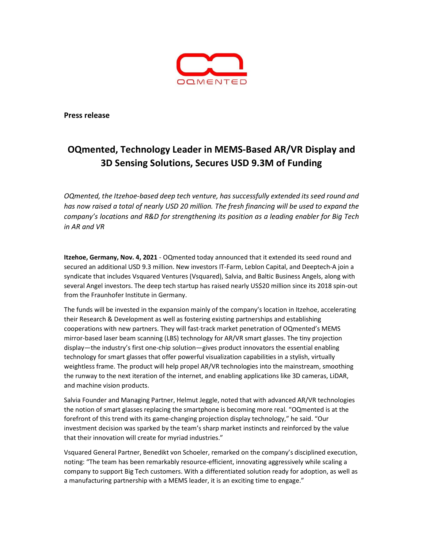

Press release

# OQmented, Technology Leader in MEMS-Based AR/VR Display and 3D Sensing Solutions, Secures USD 9.3M of Funding

OQmented, the Itzehoe-based deep tech venture, has successfully extended its seed round and has now raised a total of nearly USD 20 million. The fresh financing will be used to expand the company's locations and R&D for strengthening its position as a leading enabler for Big Tech in AR and VR

Itzehoe, Germany, Nov. 4, 2021 - OQmented today announced that it extended its seed round and secured an additional USD 9.3 million. New investors IT-Farm, Leblon Capital, and Deeptech-A join a syndicate that includes Vsquared Ventures (Vsquared), Salvia, and Baltic Business Angels, along with several Angel investors. The deep tech startup has raised nearly US\$20 million since its 2018 spin-out from the Fraunhofer Institute in Germany.

The funds will be invested in the expansion mainly of the company's location in Itzehoe, accelerating their Research & Development as well as fostering existing partnerships and establishing cooperations with new partners. They will fast-track market penetration of OQmented's MEMS mirror-based laser beam scanning (LBS) technology for AR/VR smart glasses. The tiny projection display—the industry's first one-chip solution—gives product innovators the essential enabling technology for smart glasses that offer powerful visualization capabilities in a stylish, virtually weightless frame. The product will help propel AR/VR technologies into the mainstream, smoothing the runway to the next iteration of the internet, and enabling applications like 3D cameras, LiDAR, and machine vision products.

Salvia Founder and Managing Partner, Helmut Jeggle, noted that with advanced AR/VR technologies the notion of smart glasses replacing the smartphone is becoming more real. "OQmented is at the forefront of this trend with its game-changing projection display technology," he said. "Our investment decision was sparked by the team's sharp market instincts and reinforced by the value that their innovation will create for myriad industries."

Vsquared General Partner, Benedikt von Schoeler, remarked on the company's disciplined execution, noting: "The team has been remarkably resource-efficient, innovating aggressively while scaling a company to support Big Tech customers. With a differentiated solution ready for adoption, as well as a manufacturing partnership with a MEMS leader, it is an exciting time to engage."